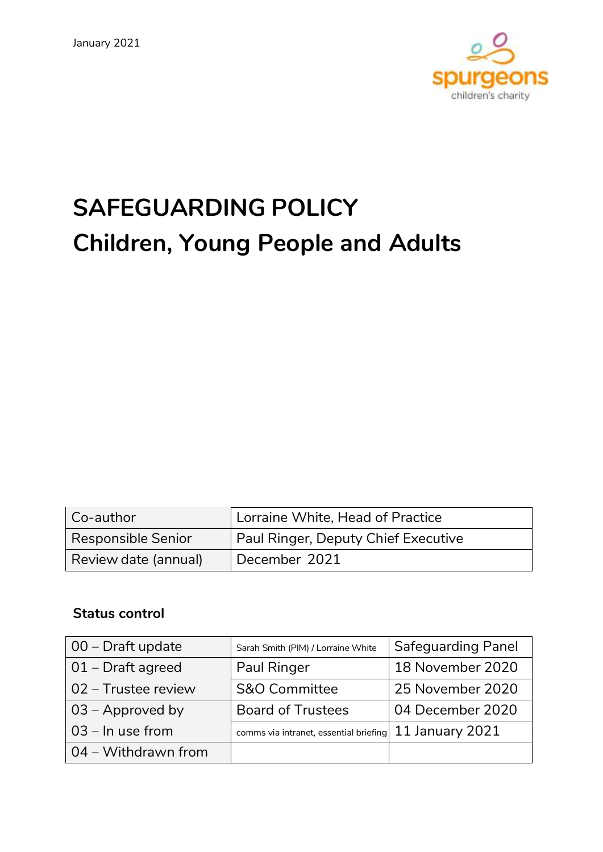

# **SAFEGUARDING POLICY Children, Young People and Adults**

| Co-author                 | Lorraine White, Head of Practice    |  |
|---------------------------|-------------------------------------|--|
| <b>Responsible Senior</b> | Paul Ringer, Deputy Chief Executive |  |
| Review date (annual)      | December 2021                       |  |

# **Status control**

| $\vert$ 00 – Draft update   | Sarah Smith (PIM) / Lorraine White     | <b>Safeguarding Panel</b> |
|-----------------------------|----------------------------------------|---------------------------|
| $\vert$ 01 – Draft agreed   | <b>Paul Ringer</b>                     | 18 November 2020          |
| 02 – Trustee review         | <b>S&amp;O Committee</b>               | 25 November 2020          |
| $\sqrt{03}$ – Approved by   | <b>Board of Trustees</b>               | 04 December 2020          |
| $03 - \ln$ use from         | comms via intranet, essential briefing | 11 January 2021           |
| $\vert$ 04 – Withdrawn from |                                        |                           |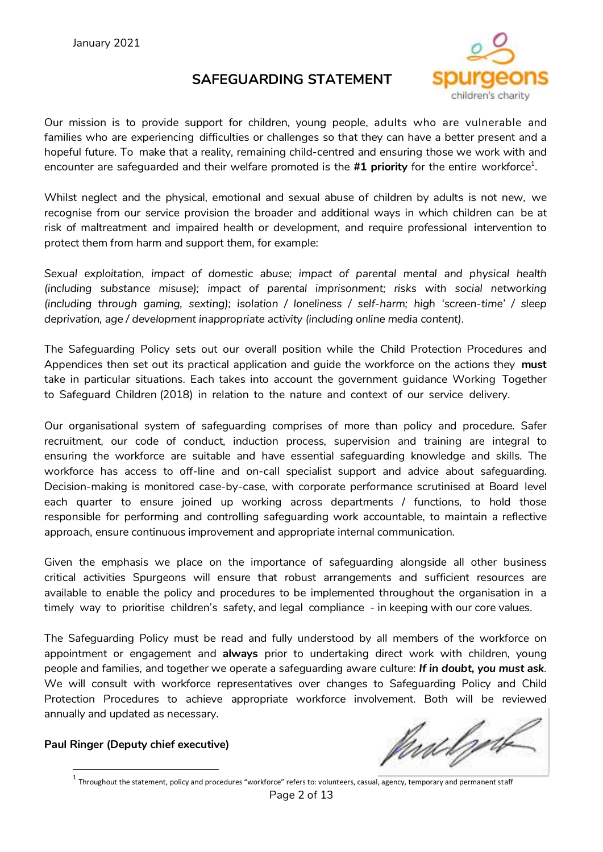# **SAFEGUARDING STATEMENT**



Our mission is to provide support for children, young people, adults who are vulnerable and families who are experiencing difficulties or challenges so that they can have a better present and a hopeful future. To make that a reality, remaining child-centred and ensuring those we work with and encounter are safeguarded and their welfare promoted is the #**1 priority** for the entire workforce<sup>1</sup>.

Whilst neglect and the physical, emotional and sexual abuse of children by adults is not new, we recognise from our service provision the broader and additional ways in which children can be at risk of maltreatment and impaired health or development, and require professional intervention to protect them from harm and support them, for example:

*Sexual exploitation, impact of domestic abuse; impact of parental mental and physical health (including substance misuse); impact of parental imprisonment; risks with social networking (including through gaming, sexting); isolation / loneliness / self-harm; high 'screen-time' / sleep deprivation, age / development inappropriate activity (including online media content).*

The Safeguarding Policy sets out our overall position while the Child Protection Procedures and Appendices then set out its practical application and guide the workforce on the actions they **must** take in particular situations. Each takes into account the government guidance Working Together to Safeguard Children (2018) in relation to the nature and context of our service delivery.

Our organisational system of safeguarding comprises of more than policy and procedure. Safer recruitment, our code of conduct, induction process, supervision and training are integral to ensuring the workforce are suitable and have essential safeguarding knowledge and skills. The workforce has access to off-line and on-call specialist support and advice about safeguarding. Decision-making is monitored case-by-case, with corporate performance scrutinised at Board level each quarter to ensure joined up working across departments / functions, to hold those responsible for performing and controlling safeguarding work accountable, to maintain a reflective approach, ensure continuous improvement and appropriate internal communication.

Given the emphasis we place on the importance of safeguarding alongside all other business critical activities Spurgeons will ensure that robust arrangements and sufficient resources are available to enable the policy and procedures to be implemented throughout the organisation in a timely way to prioritise children's safety, and legal compliance - in keeping with our core values.

The Safeguarding Policy must be read and fully understood by all members of the workforce on appointment or engagement and **always** prior to undertaking direct work with children, young people and families, and together we operate a safeguarding aware culture: *If in doubt, you must ask.* We will consult with workforce representatives over changes to Safeguarding Policy and Child Protection Procedures to achieve appropriate workforce involvement. Both will be reviewed annually and updated as necessary.

#### **Paul Ringer (Deputy chief executive)**

**.** 

nd by

 $^1$  Throughout the statement, policy and procedures "workforce" refers to: volunteers, casual, agency, temporary and permanent staff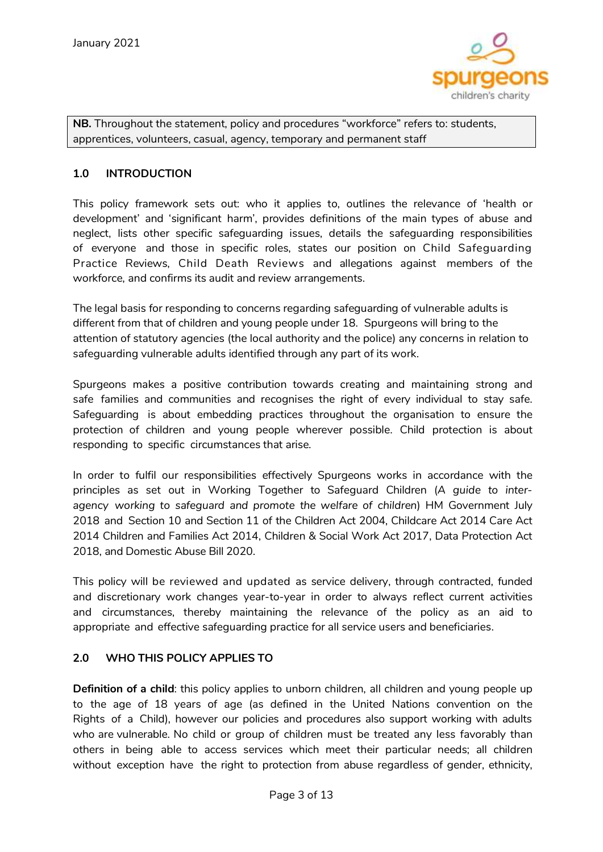

**NB.** Throughout the statement, policy and procedures "workforce" refers to: students, apprentices, volunteers, casual, agency, temporary and permanent staff

#### **1.0 INTRODUCTION**

This policy framework sets out: who it applies to, outlines the relevance of 'health or development' and 'significant harm', provides definitions of the main types of abuse and neglect, lists other specific safeguarding issues, details the safeguarding responsibilities of everyone and those in specific roles, states our position on Child Safeguarding Practice Reviews, Child Death Reviews and allegations against members of the workforce, and confirms its audit and review arrangements.

The legal basis for responding to concerns regarding safeguarding of vulnerable adults is different from that of children and young people under 18. Spurgeons will bring to the attention of statutory agencies (the local authority and the police) any concerns in relation to safeguarding vulnerable adults identified through any part of its work.

Spurgeons makes a positive contribution towards creating and maintaining strong and safe families and communities and recognises the right of every individual to stay safe. Safeguarding is about embedding practices throughout the organisation to ensure the protection of children and young people wherever possible. Child protection is about responding to specific circumstances that arise.

In order to fulfil our responsibilities effectively Spurgeons works in accordance with the principles as set out in Working Together to Safeguard Children (*A guide to interagency working to safeguard and promote the welfare of children*) HM Government July 2018 and Section 10 and Section 11 of the Children Act 2004, Childcare Act 2014 Care Act 2014 Children and Families Act 2014, Children & Social Work Act 2017, Data Protection Act 2018, and Domestic Abuse Bill 2020.

This policy will be reviewed and updated as service delivery, through contracted, funded and discretionary work changes year-to-year in order to always reflect current activities and circumstances, thereby maintaining the relevance of the policy as an aid to appropriate and effective safeguarding practice for all service users and beneficiaries.

#### **2.0 WHO THIS POLICY APPLIES TO**

**Definition of a child**: this policy applies to unborn children, all children and young people up to the age of 18 years of age (as defined in the United Nations convention on the Rights of a Child), however our policies and procedures also support working with adults who are vulnerable. No child or group of children must be treated any less favorably than others in being able to access services which meet their particular needs; all children without exception have the right to protection from abuse regardless of gender, ethnicity,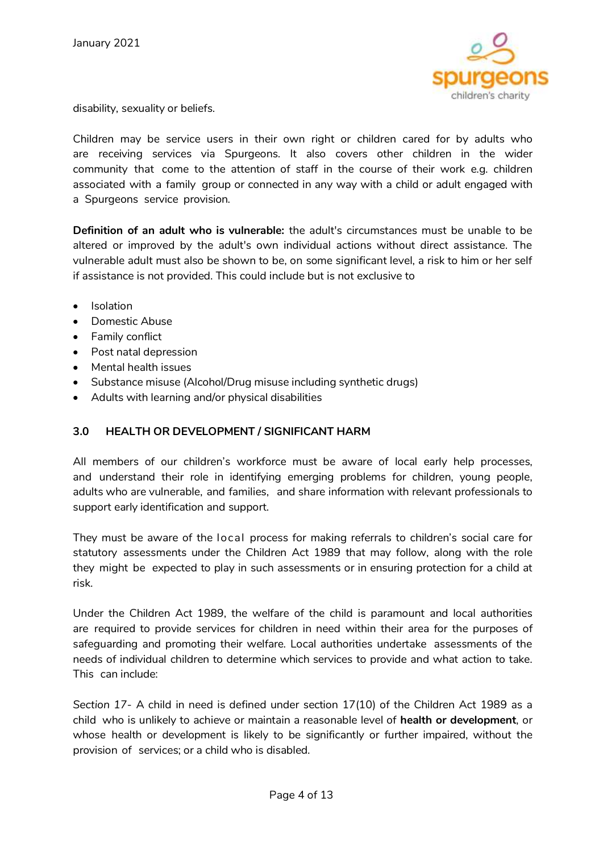

disability, sexuality or beliefs.

Children may be service users in their own right or children cared for by adults who are receiving services via Spurgeons. It also covers other children in the wider community that come to the attention of staff in the course of their work e.g. children associated with a family group or connected in any way with a child or adult engaged with a Spurgeons service provision.

**Definition of an adult who is vulnerable:** the adult's circumstances must be unable to be altered or improved by the adult's own individual actions without direct assistance. The vulnerable adult must also be shown to be, on some significant level, a risk to him or her self if assistance is not provided. This could include but is not exclusive to

- Isolation
- Domestic Abuse
- Family conflict
- Post natal depression
- Mental health issues
- Substance misuse (Alcohol/Drug misuse including synthetic drugs)
- Adults with learning and/or physical disabilities

# **3.0 HEALTH OR DEVELOPMENT / SIGNIFICANT HARM**

All members of our children's workforce must be aware of local early help processes, and understand their role in identifying emerging problems for children, young people, adults who are vulnerable, and families, and share information with relevant professionals to support early identification and support.

They must be aware of the local process for making referrals to children's social care for statutory assessments under the Children Act 1989 that may follow, along with the role they might be expected to play in such assessments or in ensuring protection for a child at risk.

Under the Children Act 1989, the welfare of the child is paramount and local authorities are required to provide services for children in need within their area for the purposes of safeguarding and promoting their welfare. Local authorities undertake assessments of the needs of individual children to determine which services to provide and what action to take. This can include:

*Section 17*- A child in need is defined under section 17(10) of the Children Act 1989 as a child who is unlikely to achieve or maintain a reasonable level of **health or development**, or whose health or development is likely to be significantly or further impaired, without the provision of services; or a child who is disabled.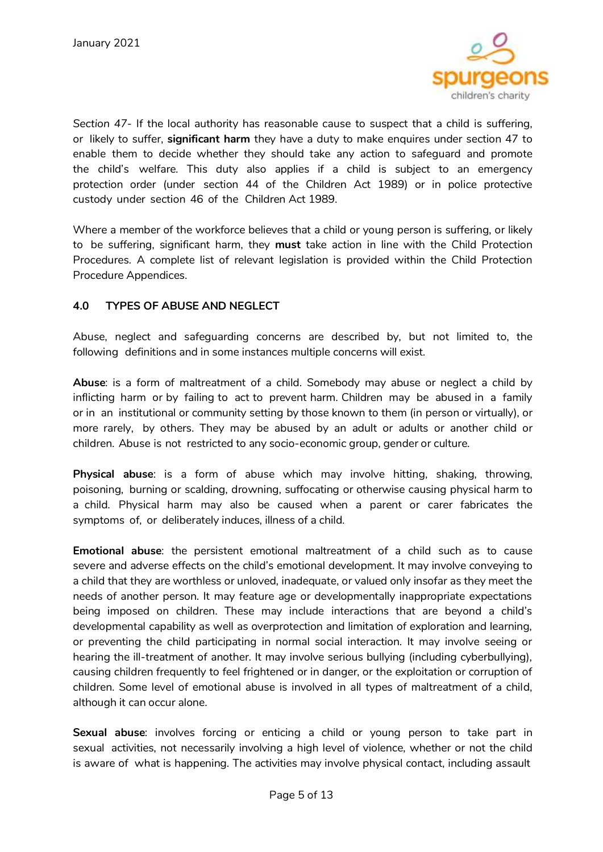

*Section 47*- If the local authority has reasonable cause to suspect that a child is suffering, or likely to suffer, **significant harm** they have a duty to make enquires under section 47 to enable them to decide whether they should take any action to safeguard and promote the child's welfare. This duty also applies if a child is subject to an emergency protection order (under section 44 of the Children Act 1989) or in police protective custody under section 46 of the Children Act 1989.

Where a member of the workforce believes that a child or young person is suffering, or likely to be suffering, significant harm, they **must** take action in line with the Child Protection Procedures. A complete list of relevant legislation is provided within the Child Protection Procedure Appendices.

# **4.0 TYPES OF ABUSE AND NEGLECT**

Abuse, neglect and safeguarding concerns are described by, but not limited to, the following definitions and in some instances multiple concerns will exist.

**Abuse**: is a form of maltreatment of a child. Somebody may abuse or neglect a child by inflicting harm or by failing to act to prevent harm. Children may be abused in a family or in an institutional or community setting by those known to them (in person or virtually), or more rarely, by others. They may be abused by an adult or adults or another child or children. Abuse is not restricted to any socio-economic group, gender or culture.

**Physical abuse**: is a form of abuse which may involve hitting, shaking, throwing, poisoning, burning or scalding, drowning, suffocating or otherwise causing physical harm to a child. Physical harm may also be caused when a parent or carer fabricates the symptoms of, or deliberately induces, illness of a child.

**Emotional abuse**: the persistent emotional maltreatment of a child such as to cause severe and adverse effects on the child's emotional development. It may involve conveying to a child that they are worthless or unloved, inadequate, or valued only insofar as they meet the needs of another person. It may feature age or developmentally inappropriate expectations being imposed on children. These may include interactions that are beyond a child's developmental capability as well as overprotection and limitation of exploration and learning, or preventing the child participating in normal social interaction. It may involve seeing or hearing the ill-treatment of another. It may involve serious bullying (including cyberbullying), causing children frequently to feel frightened or in danger, or the exploitation or corruption of children. Some level of emotional abuse is involved in all types of maltreatment of a child, although it can occur alone.

**Sexual abuse**: involves forcing or enticing a child or young person to take part in sexual activities, not necessarily involving a high level of violence, whether or not the child is aware of what is happening. The activities may involve physical contact, including assault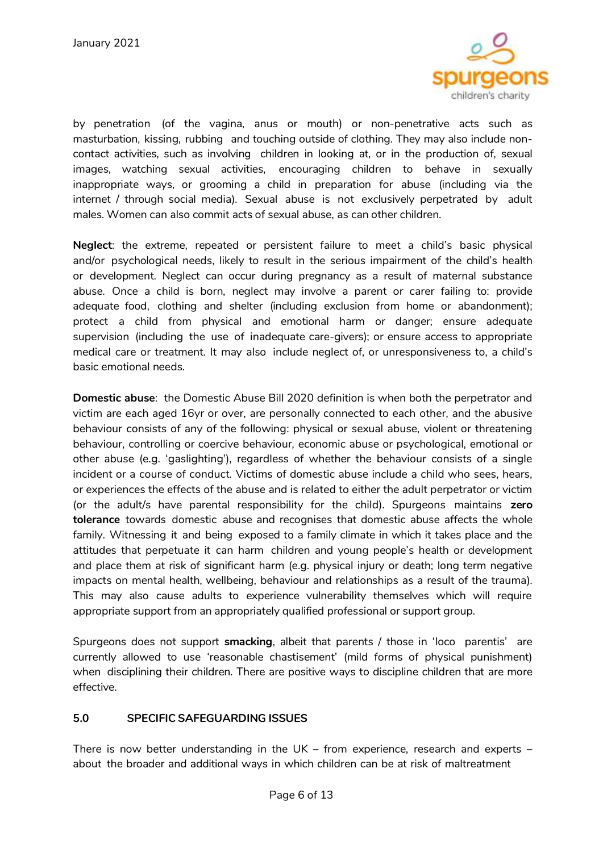

by penetration (of the vagina, anus or mouth) or non-penetrative acts such as masturbation, kissing, rubbing and touching outside of clothing. They may also include noncontact activities, such as involving children in looking at, or in the production of, sexual images, watching sexual activities, encouraging children to behave in sexually inappropriate ways, or grooming a child in preparation for abuse (including via the internet / through social media). Sexual abuse is not exclusively perpetrated by adult males. Women can also commit acts of sexual abuse, as can other children.

**Neglect**: the extreme, repeated or persistent failure to meet a child's basic physical and/or psychological needs, likely to result in the serious impairment of the child's health or development. Neglect can occur during pregnancy as a result of maternal substance abuse. Once a child is born, neglect may involve a parent or carer failing to: provide adequate food, clothing and shelter (including exclusion from home or abandonment); protect a child from physical and emotional harm or danger; ensure adequate supervision (including the use of inadequate care-givers); or ensure access to appropriate medical care or treatment. It may also include neglect of, or unresponsiveness to, a child's basic emotional needs.

**Domestic abuse**: the Domestic Abuse Bill 2020 definition is when both the perpetrator and victim are each aged 16yr or over, are personally connected to each other, and the abusive behaviour consists of any of the following: physical or sexual abuse, violent or threatening behaviour, controlling or coercive behaviour, economic abuse or psychological, emotional or other abuse (e.g. 'gaslighting'), regardless of whether the behaviour consists of a single incident or a course of conduct. Victims of domestic abuse include a child who sees, hears, or experiences the effects of the abuse and is related to either the adult perpetrator or victim (or the adult/s have parental responsibility for the child). Spurgeons maintains **zero tolerance** towards domestic abuse and recognises that domestic abuse affects the whole family. Witnessing it and being exposed to a family climate in which it takes place and the attitudes that perpetuate it can harm children and young people's health or development and place them at risk of significant harm (e.g. physical injury or death; long term negative impacts on mental health, wellbeing, behaviour and relationships as a result of the trauma). This may also cause adults to experience vulnerability themselves which will require appropriate support from an appropriately qualified professional or support group.

Spurgeons does not support **smacking**, albeit that parents / those in 'loco parentis' are currently allowed to use 'reasonable chastisement' (mild forms of physical punishment) when disciplining their children. There are positive ways to discipline children that are more effective.

#### **5.0 SPECIFIC SAFEGUARDING ISSUES**

There is now better understanding in the UK – from experience, research and experts – about the broader and additional ways in which children can be at risk of maltreatment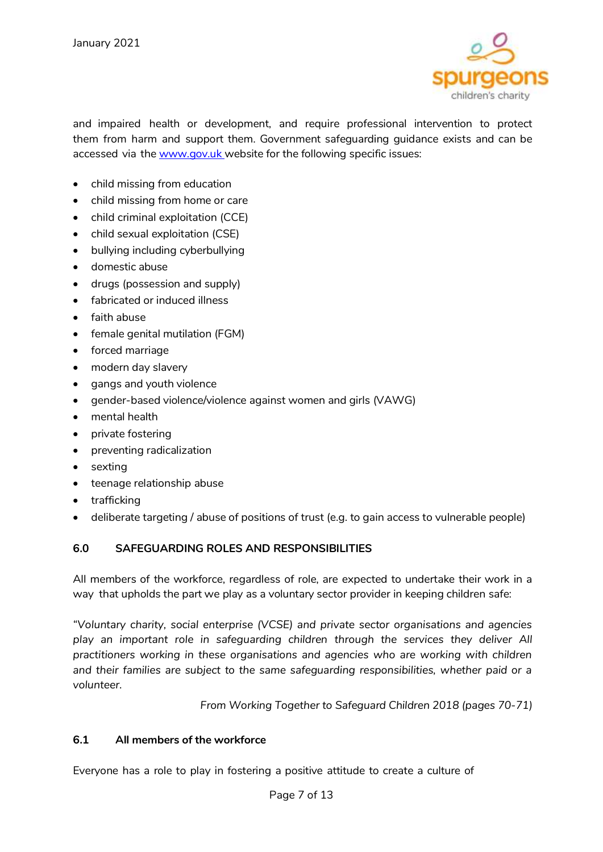

and impaired health or development, and require professional intervention to protect them from harm and support them. Government safeguarding guidance exists and can be accessed via the [www.gov.uk](http://www.gov.uk/) website for the following specific issues:

- child missing from education
- child missing from home or care
- child criminal exploitation (CCE)
- child sexual exploitation (CSE)
- bullying including cyberbullying
- domestic abuse
- drugs (possession and supply)
- fabricated or induced illness
- faith abuse
- female genital mutilation (FGM)
- **•** forced marriage
- modern day slavery
- gangs and youth violence
- gender-based violence/violence against women and girls (VAWG)
- mental health
- private fostering
- preventing radicalization
- sexting
- teenage relationship abuse
- trafficking
- deliberate targeting / abuse of positions of trust (e.g. to gain access to vulnerable people)

# **6.0 SAFEGUARDING ROLES AND RESPONSIBILITIES**

All members of the workforce, regardless of role, are expected to undertake their work in a way that upholds the part we play as a voluntary sector provider in keeping children safe:

*"Voluntary charity, social enterprise (VCSE) and private sector organisations and agencies play an important role in safeguarding children through the services they deliver All practitioners working in these organisations and agencies who are working with children and their families are subject to the same safeguarding responsibilities, whether paid or a volunteer.*

*From Working Together to Safeguard Children 2018 (pages 70-71)*

#### **6.1 All members of the workforce**

Everyone has a role to play in fostering a positive attitude to create a culture of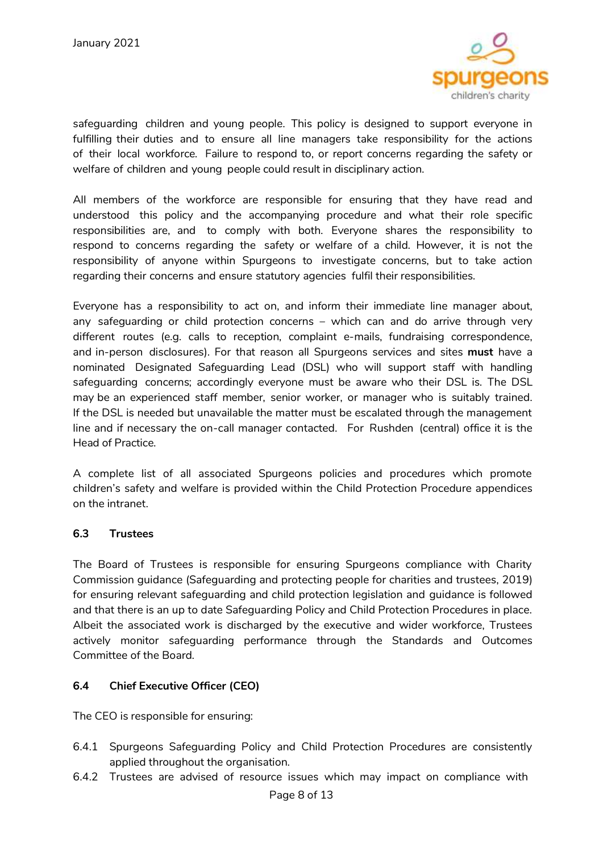

safeguarding children and young people. This policy is designed to support everyone in fulfilling their duties and to ensure all line managers take responsibility for the actions of their local workforce. Failure to respond to, or report concerns regarding the safety or welfare of children and young people could result in disciplinary action.

All members of the workforce are responsible for ensuring that they have read and understood this policy and the accompanying procedure and what their role specific responsibilities are, and to comply with both. Everyone shares the responsibility to respond to concerns regarding the safety or welfare of a child. However, it is not the responsibility of anyone within Spurgeons to investigate concerns, but to take action regarding their concerns and ensure statutory agencies fulfil their responsibilities.

Everyone has a responsibility to act on, and inform their immediate line manager about, any safeguarding or child protection concerns – which can and do arrive through very different routes (e.g. calls to reception, complaint e-mails, fundraising correspondence, and in-person disclosures). For that reason all Spurgeons services and sites **must** have a nominated Designated Safeguarding Lead (DSL) who will support staff with handling safeguarding concerns; accordingly everyone must be aware who their DSL is. The DSL may be an experienced staff member, senior worker, or manager who is suitably trained. If the DSL is needed but unavailable the matter must be escalated through the management line and if necessary the on-call manager contacted. For Rushden (central) office it is the Head of Practice.

A complete list of all associated Spurgeons policies and procedures which promote children's safety and welfare is provided within the Child Protection Procedure appendices on the intranet.

#### **6.3 Trustees**

The Board of Trustees is responsible for ensuring Spurgeons compliance with Charity Commission guidance (Safeguarding and protecting people for charities and trustees, 2019) for ensuring relevant safeguarding and child protection legislation and guidance is followed and that there is an up to date Safeguarding Policy and Child Protection Procedures in place. Albeit the associated work is discharged by the executive and wider workforce, Trustees actively monitor safeguarding performance through the Standards and Outcomes Committee of the Board.

# **6.4 Chief Executive Officer (CEO)**

The CEO is responsible for ensuring:

- 6.4.1 Spurgeons Safeguarding Policy and Child Protection Procedures are consistently applied throughout the organisation.
- 6.4.2 Trustees are advised of resource issues which may impact on compliance with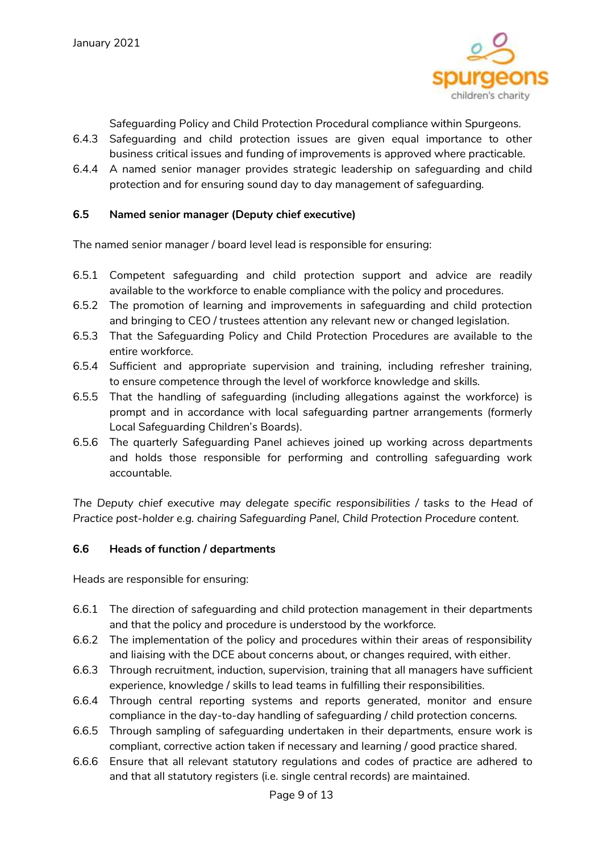

Safeguarding Policy and Child Protection Procedural compliance within Spurgeons.

- 6.4.3 Safeguarding and child protection issues are given equal importance to other business critical issues and funding of improvements is approved where practicable.
- 6.4.4 A named senior manager provides strategic leadership on safeguarding and child protection and for ensuring sound day to day management of safeguarding.

#### **6.5 Named senior manager (Deputy chief executive)**

The named senior manager / board level lead is responsible for ensuring:

- 6.5.1 Competent safeguarding and child protection support and advice are readily available to the workforce to enable compliance with the policy and procedures.
- 6.5.2 The promotion of learning and improvements in safeguarding and child protection and bringing to CEO / trustees attention any relevant new or changed legislation.
- 6.5.3 That the Safeguarding Policy and Child Protection Procedures are available to the entire workforce.
- 6.5.4 Sufficient and appropriate supervision and training, including refresher training, to ensure competence through the level of workforce knowledge and skills.
- 6.5.5 That the handling of safeguarding (including allegations against the workforce) is prompt and in accordance with local safeguarding partner arrangements (formerly Local Safeguarding Children's Boards).
- 6.5.6 The quarterly Safeguarding Panel achieves joined up working across departments and holds those responsible for performing and controlling safeguarding work accountable.

*The Deputy chief executive may delegate specific responsibilities / tasks to the Head of Practice post-holder e.g. chairing Safeguarding Panel, Child Protection Procedure content.*

#### **6.6 Heads of function / departments**

Heads are responsible for ensuring:

- 6.6.1 The direction of safeguarding and child protection management in their departments and that the policy and procedure is understood by the workforce.
- 6.6.2 The implementation of the policy and procedures within their areas of responsibility and liaising with the DCE about concerns about, or changes required, with either.
- 6.6.3 Through recruitment, induction, supervision, training that all managers have sufficient experience, knowledge / skills to lead teams in fulfilling their responsibilities.
- 6.6.4 Through central reporting systems and reports generated, monitor and ensure compliance in the day-to-day handling of safeguarding / child protection concerns.
- 6.6.5 Through sampling of safeguarding undertaken in their departments, ensure work is compliant, corrective action taken if necessary and learning / good practice shared.
- 6.6.6 Ensure that all relevant statutory regulations and codes of practice are adhered to and that all statutory registers (i.e. single central records) are maintained.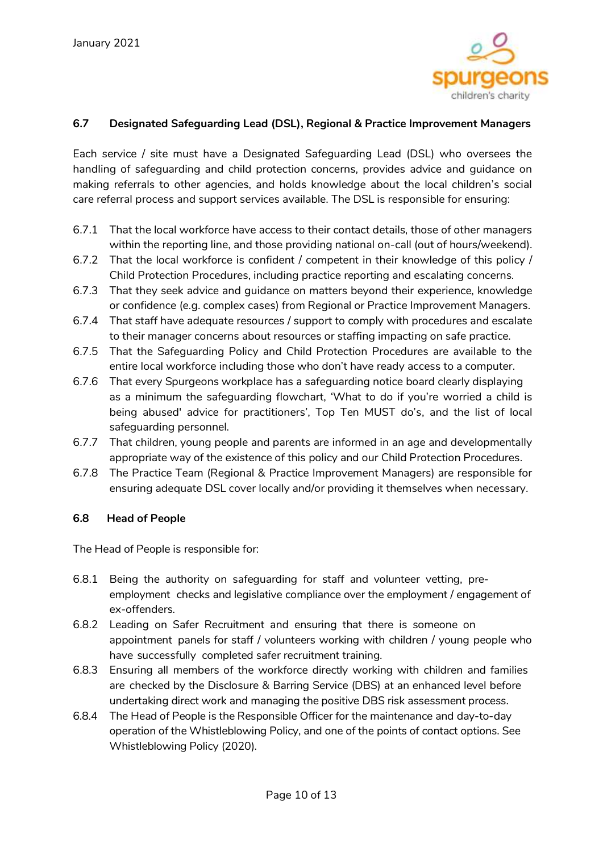

### **6.7 Designated Safeguarding Lead (DSL), Regional & Practice Improvement Managers**

Each service / site must have a Designated Safeguarding Lead (DSL) who oversees the handling of safeguarding and child protection concerns, provides advice and guidance on making referrals to other agencies, and holds knowledge about the local children's social care referral process and support services available. The DSL is responsible for ensuring:

- 6.7.1 That the local workforce have access to their contact details, those of other managers within the reporting line, and those providing national on-call (out of hours/weekend).
- 6.7.2 That the local workforce is confident / competent in their knowledge of this policy / Child Protection Procedures, including practice reporting and escalating concerns.
- 6.7.3 That they seek advice and guidance on matters beyond their experience, knowledge or confidence (e.g. complex cases) from Regional or Practice Improvement Managers.
- 6.7.4 That staff have adequate resources / support to comply with procedures and escalate to their manager concerns about resources or staffing impacting on safe practice.
- 6.7.5 That the Safeguarding Policy and Child Protection Procedures are available to the entire local workforce including those who don't have ready access to a computer.
- 6.7.6 That every Spurgeons workplace has a safeguarding notice board clearly displaying as a minimum the safeguarding flowchart, 'What to do if you're worried a child is being abused' advice for practitioners', Top Ten MUST do's, and the list of local safeguarding personnel.
- 6.7.7 That children, young people and parents are informed in an age and developmentally appropriate way of the existence of this policy and our Child Protection Procedures.
- 6.7.8 The Practice Team (Regional & Practice Improvement Managers) are responsible for ensuring adequate DSL cover locally and/or providing it themselves when necessary.

#### **6.8 Head of People**

The Head of People is responsible for:

- 6.8.1 Being the authority on safeguarding for staff and volunteer vetting, preemployment checks and legislative compliance over the employment / engagement of ex-offenders.
- 6.8.2 Leading on Safer Recruitment and ensuring that there is someone on appointment panels for staff / volunteers working with children / young people who have successfully completed safer recruitment training.
- 6.8.3 Ensuring all members of the workforce directly working with children and families are checked by the Disclosure & Barring Service (DBS) at an enhanced level before undertaking direct work and managing the positive DBS risk assessment process.
- 6.8.4 The Head of People is the Responsible Officer for the maintenance and day-to-day operation of the Whistleblowing Policy, and one of the points of contact options. See Whistleblowing Policy (2020).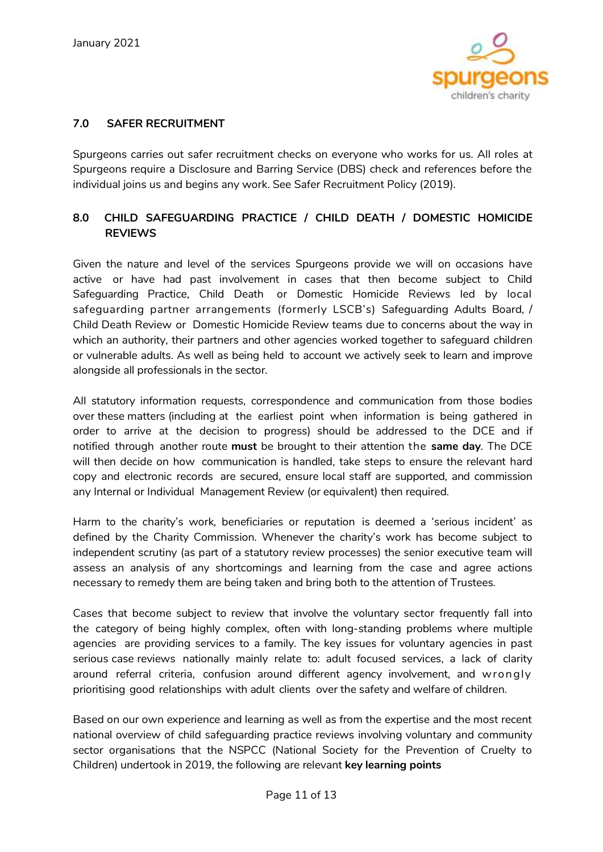

## **7.0 SAFER RECRUITMENT**

Spurgeons carries out safer recruitment checks on everyone who works for us. All roles at Spurgeons require a Disclosure and Barring Service (DBS) check and references before the individual joins us and begins any work. See Safer Recruitment Policy (2019).

# **8.0 CHILD SAFEGUARDING PRACTICE / CHILD DEATH / DOMESTIC HOMICIDE REVIEWS**

Given the nature and level of the services Spurgeons provide we will on occasions have active or have had past involvement in cases that then become subject to Child Safeguarding Practice, Child Death or Domestic Homicide Reviews led by local safeguarding partner arrangements (formerly LSCB's) Safeguarding Adults Board, / Child Death Review or Domestic Homicide Review teams due to concerns about the way in which an authority, their partners and other agencies worked together to safeguard children or vulnerable adults. As well as being held to account we actively seek to learn and improve alongside all professionals in the sector.

All statutory information requests, correspondence and communication from those bodies over these matters (including at the earliest point when information is being gathered in order to arrive at the decision to progress) should be addressed to the DCE and if notified through another route **must** be brought to their attention the **same day**. The DCE will then decide on how communication is handled, take steps to ensure the relevant hard copy and electronic records are secured, ensure local staff are supported, and commission any Internal or Individual Management Review (or equivalent) then required.

Harm to the charity's work, beneficiaries or reputation is deemed a 'serious incident' as defined by the Charity Commission. Whenever the charity's work has become subject to independent scrutiny (as part of a statutory review processes) the senior executive team will assess an analysis of any shortcomings and learning from the case and agree actions necessary to remedy them are being taken and bring both to the attention of Trustees.

Cases that become subject to review that involve the voluntary sector frequently fall into the category of being highly complex, often with long-standing problems where multiple agencies are providing services to a family. The key issues for voluntary agencies in past serious case reviews nationally mainly relate to: adult focused services, a lack of clarity around referral criteria, confusion around different agency involvement, and w rongly prioritising good relationships with adult clients over the safety and welfare of children.

Based on our own experience and learning as well as from the expertise and the most recent national overview of child safeguarding practice reviews involving voluntary and community sector organisations that the NSPCC (National Society for the Prevention of Cruelty to Children) undertook in 2019, the following are relevant **key learning points**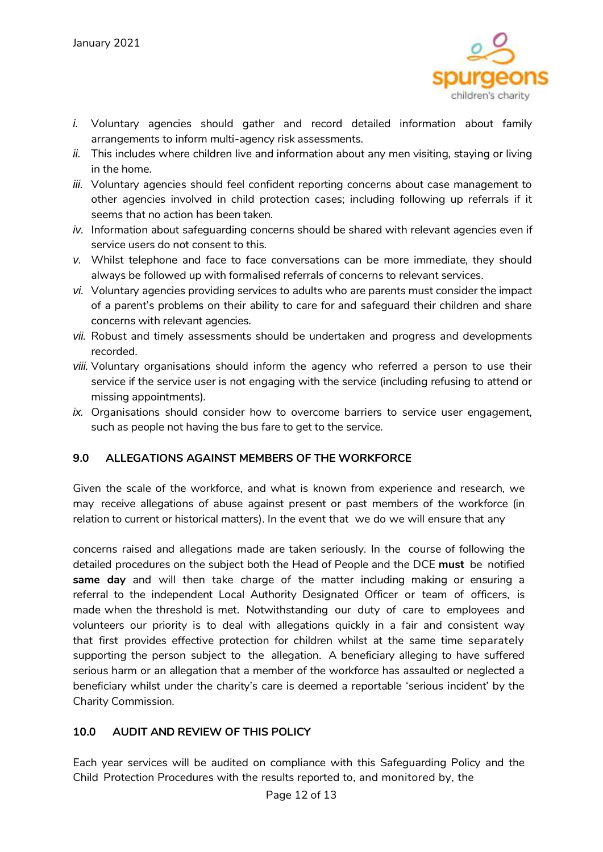

- *i.* Voluntary agencies should gather and record detailed information about family arrangements to inform multi-agency risk assessments.
- *ii.* This includes where children live and information about any men visiting, staying or living in the home.
- *iii.* Voluntary agencies should feel confident reporting concerns about case management to other agencies involved in child protection cases; including following up referrals if it seems that no action has been taken.
- *iv.* Information about safeguarding concerns should be shared with relevant agencies even if service users do not consent to this.
- *v.* Whilst telephone and face to face conversations can be more immediate, they should always be followed up with formalised referrals of concerns to relevant services.
- *vi.* Voluntary agencies providing services to adults who are parents must consider the impact of a parent's problems on their ability to care for and safeguard their children and share concerns with relevant agencies.
- *vii.* Robust and timely assessments should be undertaken and progress and developments recorded.
- *viii.* Voluntary organisations should inform the agency who referred a person to use their service if the service user is not engaging with the service (including refusing to attend or missing appointments).
- *ix.* Organisations should consider how to overcome barriers to service user engagement, such as people not having the bus fare to get to the service.

# **9.0 ALLEGATIONS AGAINST MEMBERS OF THE WORKFORCE**

Given the scale of the workforce, and what is known from experience and research, we may receive allegations of abuse against present or past members of the workforce (in relation to current or historical matters). In the event that we do we will ensure that any

concerns raised and allegations made are taken seriously. In the course of following the detailed procedures on the subject both the Head of People and the DCE **must** be notified **same day** and will then take charge of the matter including making or ensuring a referral to the independent Local Authority Designated Officer or team of officers, is made when the threshold is met. Notwithstanding our duty of care to employees and volunteers our priority is to deal with allegations quickly in a fair and consistent way that first provides effective protection for children whilst at the same time separately supporting the person subject to the allegation. A beneficiary alleging to have suffered serious harm or an allegation that a member of the workforce has assaulted or neglected a beneficiary whilst under the charity's care is deemed a reportable 'serious incident' by the Charity Commission.

# **10.0 AUDIT AND REVIEW OF THIS POLICY**

Each year services will be audited on compliance with this Safeguarding Policy and the Child Protection Procedures with the results reported to, and monitored by, the